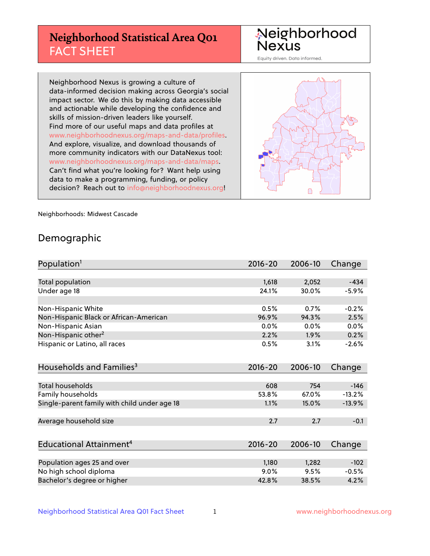# **Neighborhood Statistical Area Q01** FACT SHEET

Neighborhood Nexus

Equity driven. Data informed.

Neighborhood Nexus is growing a culture of data-informed decision making across Georgia's social impact sector. We do this by making data accessible and actionable while developing the confidence and skills of mission-driven leaders like yourself. Find more of our useful maps and data profiles at www.neighborhoodnexus.org/maps-and-data/profiles. And explore, visualize, and download thousands of more community indicators with our DataNexus tool: www.neighborhoodnexus.org/maps-and-data/maps. Can't find what you're looking for? Want help using data to make a programming, funding, or policy decision? Reach out to [info@neighborhoodnexus.org!](mailto:info@neighborhoodnexus.org)



Neighborhoods: Midwest Cascade

### Demographic

| Population <sup>1</sup>                      | $2016 - 20$ | 2006-10 | Change   |
|----------------------------------------------|-------------|---------|----------|
|                                              |             |         |          |
| Total population                             | 1,618       | 2,052   | $-434$   |
| Under age 18                                 | 24.1%       | 30.0%   | $-5.9%$  |
|                                              |             |         |          |
| Non-Hispanic White                           | 0.5%        | 0.7%    | $-0.2%$  |
| Non-Hispanic Black or African-American       | 96.9%       | 94.3%   | 2.5%     |
| Non-Hispanic Asian                           | 0.0%        | 0.0%    | 0.0%     |
| Non-Hispanic other <sup>2</sup>              | 2.2%        | $1.9\%$ | 0.2%     |
| Hispanic or Latino, all races                | 0.5%        | 3.1%    | $-2.6%$  |
|                                              |             |         |          |
| Households and Families <sup>3</sup>         | $2016 - 20$ | 2006-10 | Change   |
|                                              |             |         |          |
| <b>Total households</b>                      | 608         | 754     | $-146$   |
| Family households                            | 53.8%       | 67.0%   | $-13.2%$ |
| Single-parent family with child under age 18 | 1.1%        | 15.0%   | $-13.9%$ |
|                                              |             |         |          |
| Average household size                       | 2.7         | 2.7     | $-0.1$   |
|                                              |             |         |          |
| Educational Attainment <sup>4</sup>          | $2016 - 20$ | 2006-10 | Change   |
|                                              |             |         |          |
| Population ages 25 and over                  | 1,180       | 1,282   | $-102$   |
| No high school diploma                       | 9.0%        | 9.5%    | $-0.5%$  |
| Bachelor's degree or higher                  | 42.8%       | 38.5%   | 4.2%     |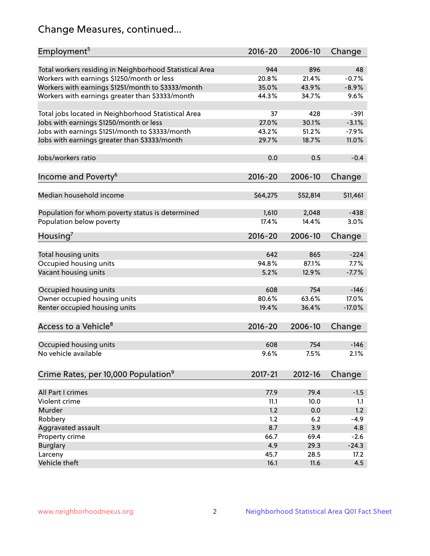# Change Measures, continued...

| Employment <sup>5</sup>                                                                               | $2016 - 20$  | 2006-10      | Change        |
|-------------------------------------------------------------------------------------------------------|--------------|--------------|---------------|
|                                                                                                       |              |              |               |
| Total workers residing in Neighborhood Statistical Area                                               | 944<br>20.8% | 896<br>21.4% | 48<br>$-0.7%$ |
| Workers with earnings \$1250/month or less                                                            | 35.0%        | 43.9%        | $-8.9%$       |
| Workers with earnings \$1251/month to \$3333/month<br>Workers with earnings greater than \$3333/month | 44.3%        | 34.7%        | 9.6%          |
|                                                                                                       |              |              |               |
| Total jobs located in Neighborhood Statistical Area                                                   | 37           | 428          | $-391$        |
| Jobs with earnings \$1250/month or less                                                               | 27.0%        | 30.1%        | $-3.1%$       |
| Jobs with earnings \$1251/month to \$3333/month                                                       | 43.2%        | 51.2%        | $-7.9%$       |
| Jobs with earnings greater than \$3333/month                                                          | 29.7%        | 18.7%        | 11.0%         |
|                                                                                                       |              |              |               |
| Jobs/workers ratio                                                                                    | 0.0          | 0.5          | $-0.4$        |
|                                                                                                       |              |              |               |
| Income and Poverty <sup>6</sup>                                                                       | 2016-20      | 2006-10      | Change        |
|                                                                                                       |              |              |               |
| Median household income                                                                               | \$64,275     | \$52,814     | \$11,461      |
| Population for whom poverty status is determined                                                      | 1,610        | 2,048        | $-438$        |
| Population below poverty                                                                              | 17.4%        | 14.4%        | 3.0%          |
|                                                                                                       |              |              |               |
| Housing'                                                                                              | $2016 - 20$  | 2006-10      | Change        |
|                                                                                                       |              |              |               |
| Total housing units                                                                                   | 642          | 865          | $-224$        |
| Occupied housing units                                                                                | 94.8%        | 87.1%        | 7.7%          |
| Vacant housing units                                                                                  | 5.2%         | 12.9%        | $-7.7%$       |
|                                                                                                       |              |              |               |
| Occupied housing units                                                                                | 608          | 754          | $-146$        |
| Owner occupied housing units                                                                          | 80.6%        | 63.6%        | 17.0%         |
| Renter occupied housing units                                                                         | 19.4%        | 36.4%        | $-17.0%$      |
| Access to a Vehicle <sup>8</sup>                                                                      | $2016 - 20$  | 2006-10      |               |
|                                                                                                       |              |              | Change        |
| Occupied housing units                                                                                | 608          | 754          | $-146$        |
| No vehicle available                                                                                  | 9.6%         | 7.5%         | 2.1%          |
|                                                                                                       |              |              |               |
| Crime Rates, per 10,000 Population <sup>9</sup>                                                       | 2017-21      | 2012-16      | Change        |
|                                                                                                       |              |              |               |
| All Part I crimes                                                                                     | 77.9         | 79.4         | $-1.5$        |
| Violent crime                                                                                         | 11.1         | 10.0         | 1.1           |
| Murder                                                                                                | 1.2          | 0.0          | 1.2           |
| Robbery                                                                                               | 1.2          | 6.2          | $-4.9$        |
| Aggravated assault                                                                                    | 8.7          | 3.9          | 4.8           |
| Property crime                                                                                        | 66.7         | 69.4         | $-2.6$        |
| <b>Burglary</b>                                                                                       | 4.9          | 29.3         | $-24.3$       |
| Larceny                                                                                               | 45.7         | 28.5         | 17.2          |
| Vehicle theft                                                                                         | 16.1         | 11.6         | 4.5           |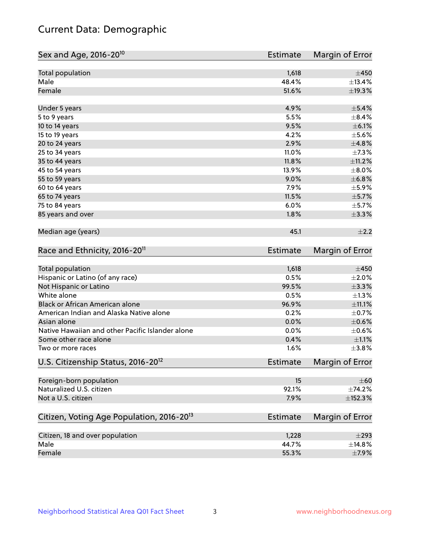# Current Data: Demographic

| Total population<br>1,618<br>Male<br>48.4%<br>Female<br>51.6%<br>±19.3%<br>4.9%<br>$\pm$ 5.4%<br>Under 5 years<br>5.5%<br>$\pm$ 8.4%<br>5 to 9 years<br>9.5%<br>$\pm$ 6.1%<br>10 to 14 years<br>4.2%<br>15 to 19 years<br>±4.8%<br>2.9%<br>20 to 24 years<br>11.0%<br>25 to 34 years<br>$\pm$ 11.2%<br>35 to 44 years<br>11.8%<br>13.9%<br>45 to 54 years<br>±6.8%<br>55 to 59 years<br>9.0%<br>7.9%<br>60 to 64 years<br>11.5%<br>$\pm$ 5.7%<br>65 to 74 years<br>75 to 84 years<br>6.0%<br>$\pm$ 5.7%<br>$\pm$ 3.3%<br>85 years and over<br>1.8%<br>Median age (years)<br>45.1<br>Race and Ethnicity, 2016-20 <sup>11</sup><br><b>Estimate</b><br><b>Total population</b><br>1,618<br>$\pm 450$<br>Hispanic or Latino (of any race)<br>0.5%<br>$\pm 2.0\%$<br>±3.3%<br>Not Hispanic or Latino<br>99.5%<br>White alone<br>0.5%<br>$\pm 1.3\%$<br>Black or African American alone<br>±11.1%<br>96.9%<br>American Indian and Alaska Native alone<br>0.2%<br>$\pm$ 0.7%<br>$\pm$ 0.6%<br>Asian alone<br>0.0%<br>Native Hawaiian and other Pacific Islander alone<br>0.0%<br>$\pm$ 0.6%<br>$\pm 1.1\%$<br>Some other race alone<br>0.4%<br>1.6%<br>±3.8%<br>Two or more races<br>U.S. Citizenship Status, 2016-20 <sup>12</sup><br>Estimate<br>Foreign-born population<br>15<br>Naturalized U.S. citizen<br>92.1%<br>Not a U.S. citizen<br>±152.3%<br>7.9%<br>Citizen, Voting Age Population, 2016-20 <sup>13</sup><br><b>Estimate</b><br>Citizen, 18 and over population<br>$\pm 293$<br>1,228<br>Male<br>44.7%<br>±14.8%<br>55.3%<br>Female<br>$\pm$ 7.9% | Sex and Age, 2016-20 <sup>10</sup> | <b>Estimate</b> | Margin of Error |
|----------------------------------------------------------------------------------------------------------------------------------------------------------------------------------------------------------------------------------------------------------------------------------------------------------------------------------------------------------------------------------------------------------------------------------------------------------------------------------------------------------------------------------------------------------------------------------------------------------------------------------------------------------------------------------------------------------------------------------------------------------------------------------------------------------------------------------------------------------------------------------------------------------------------------------------------------------------------------------------------------------------------------------------------------------------------------------------------------------------------------------------------------------------------------------------------------------------------------------------------------------------------------------------------------------------------------------------------------------------------------------------------------------------------------------------------------------------------------------------------------------------------------------------------------------|------------------------------------|-----------------|-----------------|
|                                                                                                                                                                                                                                                                                                                                                                                                                                                                                                                                                                                                                                                                                                                                                                                                                                                                                                                                                                                                                                                                                                                                                                                                                                                                                                                                                                                                                                                                                                                                                          |                                    |                 | $\pm 450$       |
|                                                                                                                                                                                                                                                                                                                                                                                                                                                                                                                                                                                                                                                                                                                                                                                                                                                                                                                                                                                                                                                                                                                                                                                                                                                                                                                                                                                                                                                                                                                                                          |                                    |                 | ±13.4%          |
|                                                                                                                                                                                                                                                                                                                                                                                                                                                                                                                                                                                                                                                                                                                                                                                                                                                                                                                                                                                                                                                                                                                                                                                                                                                                                                                                                                                                                                                                                                                                                          |                                    |                 |                 |
|                                                                                                                                                                                                                                                                                                                                                                                                                                                                                                                                                                                                                                                                                                                                                                                                                                                                                                                                                                                                                                                                                                                                                                                                                                                                                                                                                                                                                                                                                                                                                          |                                    |                 |                 |
|                                                                                                                                                                                                                                                                                                                                                                                                                                                                                                                                                                                                                                                                                                                                                                                                                                                                                                                                                                                                                                                                                                                                                                                                                                                                                                                                                                                                                                                                                                                                                          |                                    |                 |                 |
|                                                                                                                                                                                                                                                                                                                                                                                                                                                                                                                                                                                                                                                                                                                                                                                                                                                                                                                                                                                                                                                                                                                                                                                                                                                                                                                                                                                                                                                                                                                                                          |                                    |                 |                 |
|                                                                                                                                                                                                                                                                                                                                                                                                                                                                                                                                                                                                                                                                                                                                                                                                                                                                                                                                                                                                                                                                                                                                                                                                                                                                                                                                                                                                                                                                                                                                                          |                                    |                 | $\pm$ 5.6%      |
|                                                                                                                                                                                                                                                                                                                                                                                                                                                                                                                                                                                                                                                                                                                                                                                                                                                                                                                                                                                                                                                                                                                                                                                                                                                                                                                                                                                                                                                                                                                                                          |                                    |                 |                 |
|                                                                                                                                                                                                                                                                                                                                                                                                                                                                                                                                                                                                                                                                                                                                                                                                                                                                                                                                                                                                                                                                                                                                                                                                                                                                                                                                                                                                                                                                                                                                                          |                                    |                 | $\pm$ 7.3%      |
|                                                                                                                                                                                                                                                                                                                                                                                                                                                                                                                                                                                                                                                                                                                                                                                                                                                                                                                                                                                                                                                                                                                                                                                                                                                                                                                                                                                                                                                                                                                                                          |                                    |                 |                 |
|                                                                                                                                                                                                                                                                                                                                                                                                                                                                                                                                                                                                                                                                                                                                                                                                                                                                                                                                                                                                                                                                                                                                                                                                                                                                                                                                                                                                                                                                                                                                                          |                                    |                 | $\pm 8.0\%$     |
|                                                                                                                                                                                                                                                                                                                                                                                                                                                                                                                                                                                                                                                                                                                                                                                                                                                                                                                                                                                                                                                                                                                                                                                                                                                                                                                                                                                                                                                                                                                                                          |                                    |                 |                 |
|                                                                                                                                                                                                                                                                                                                                                                                                                                                                                                                                                                                                                                                                                                                                                                                                                                                                                                                                                                                                                                                                                                                                                                                                                                                                                                                                                                                                                                                                                                                                                          |                                    |                 | $\pm$ 5.9%      |
|                                                                                                                                                                                                                                                                                                                                                                                                                                                                                                                                                                                                                                                                                                                                                                                                                                                                                                                                                                                                                                                                                                                                                                                                                                                                                                                                                                                                                                                                                                                                                          |                                    |                 |                 |
|                                                                                                                                                                                                                                                                                                                                                                                                                                                                                                                                                                                                                                                                                                                                                                                                                                                                                                                                                                                                                                                                                                                                                                                                                                                                                                                                                                                                                                                                                                                                                          |                                    |                 |                 |
|                                                                                                                                                                                                                                                                                                                                                                                                                                                                                                                                                                                                                                                                                                                                                                                                                                                                                                                                                                                                                                                                                                                                                                                                                                                                                                                                                                                                                                                                                                                                                          |                                    |                 |                 |
|                                                                                                                                                                                                                                                                                                                                                                                                                                                                                                                                                                                                                                                                                                                                                                                                                                                                                                                                                                                                                                                                                                                                                                                                                                                                                                                                                                                                                                                                                                                                                          |                                    |                 | $\pm 2.2$       |
|                                                                                                                                                                                                                                                                                                                                                                                                                                                                                                                                                                                                                                                                                                                                                                                                                                                                                                                                                                                                                                                                                                                                                                                                                                                                                                                                                                                                                                                                                                                                                          |                                    |                 | Margin of Error |
|                                                                                                                                                                                                                                                                                                                                                                                                                                                                                                                                                                                                                                                                                                                                                                                                                                                                                                                                                                                                                                                                                                                                                                                                                                                                                                                                                                                                                                                                                                                                                          |                                    |                 |                 |
|                                                                                                                                                                                                                                                                                                                                                                                                                                                                                                                                                                                                                                                                                                                                                                                                                                                                                                                                                                                                                                                                                                                                                                                                                                                                                                                                                                                                                                                                                                                                                          |                                    |                 |                 |
|                                                                                                                                                                                                                                                                                                                                                                                                                                                                                                                                                                                                                                                                                                                                                                                                                                                                                                                                                                                                                                                                                                                                                                                                                                                                                                                                                                                                                                                                                                                                                          |                                    |                 |                 |
|                                                                                                                                                                                                                                                                                                                                                                                                                                                                                                                                                                                                                                                                                                                                                                                                                                                                                                                                                                                                                                                                                                                                                                                                                                                                                                                                                                                                                                                                                                                                                          |                                    |                 |                 |
|                                                                                                                                                                                                                                                                                                                                                                                                                                                                                                                                                                                                                                                                                                                                                                                                                                                                                                                                                                                                                                                                                                                                                                                                                                                                                                                                                                                                                                                                                                                                                          |                                    |                 |                 |
|                                                                                                                                                                                                                                                                                                                                                                                                                                                                                                                                                                                                                                                                                                                                                                                                                                                                                                                                                                                                                                                                                                                                                                                                                                                                                                                                                                                                                                                                                                                                                          |                                    |                 |                 |
|                                                                                                                                                                                                                                                                                                                                                                                                                                                                                                                                                                                                                                                                                                                                                                                                                                                                                                                                                                                                                                                                                                                                                                                                                                                                                                                                                                                                                                                                                                                                                          |                                    |                 |                 |
|                                                                                                                                                                                                                                                                                                                                                                                                                                                                                                                                                                                                                                                                                                                                                                                                                                                                                                                                                                                                                                                                                                                                                                                                                                                                                                                                                                                                                                                                                                                                                          |                                    |                 |                 |
|                                                                                                                                                                                                                                                                                                                                                                                                                                                                                                                                                                                                                                                                                                                                                                                                                                                                                                                                                                                                                                                                                                                                                                                                                                                                                                                                                                                                                                                                                                                                                          |                                    |                 |                 |
|                                                                                                                                                                                                                                                                                                                                                                                                                                                                                                                                                                                                                                                                                                                                                                                                                                                                                                                                                                                                                                                                                                                                                                                                                                                                                                                                                                                                                                                                                                                                                          |                                    |                 |                 |
|                                                                                                                                                                                                                                                                                                                                                                                                                                                                                                                                                                                                                                                                                                                                                                                                                                                                                                                                                                                                                                                                                                                                                                                                                                                                                                                                                                                                                                                                                                                                                          |                                    |                 | Margin of Error |
|                                                                                                                                                                                                                                                                                                                                                                                                                                                                                                                                                                                                                                                                                                                                                                                                                                                                                                                                                                                                                                                                                                                                                                                                                                                                                                                                                                                                                                                                                                                                                          |                                    |                 | $\pm 60$        |
|                                                                                                                                                                                                                                                                                                                                                                                                                                                                                                                                                                                                                                                                                                                                                                                                                                                                                                                                                                                                                                                                                                                                                                                                                                                                                                                                                                                                                                                                                                                                                          |                                    |                 | ±74.2%          |
|                                                                                                                                                                                                                                                                                                                                                                                                                                                                                                                                                                                                                                                                                                                                                                                                                                                                                                                                                                                                                                                                                                                                                                                                                                                                                                                                                                                                                                                                                                                                                          |                                    |                 |                 |
|                                                                                                                                                                                                                                                                                                                                                                                                                                                                                                                                                                                                                                                                                                                                                                                                                                                                                                                                                                                                                                                                                                                                                                                                                                                                                                                                                                                                                                                                                                                                                          |                                    |                 | Margin of Error |
|                                                                                                                                                                                                                                                                                                                                                                                                                                                                                                                                                                                                                                                                                                                                                                                                                                                                                                                                                                                                                                                                                                                                                                                                                                                                                                                                                                                                                                                                                                                                                          |                                    |                 |                 |
|                                                                                                                                                                                                                                                                                                                                                                                                                                                                                                                                                                                                                                                                                                                                                                                                                                                                                                                                                                                                                                                                                                                                                                                                                                                                                                                                                                                                                                                                                                                                                          |                                    |                 |                 |
|                                                                                                                                                                                                                                                                                                                                                                                                                                                                                                                                                                                                                                                                                                                                                                                                                                                                                                                                                                                                                                                                                                                                                                                                                                                                                                                                                                                                                                                                                                                                                          |                                    |                 |                 |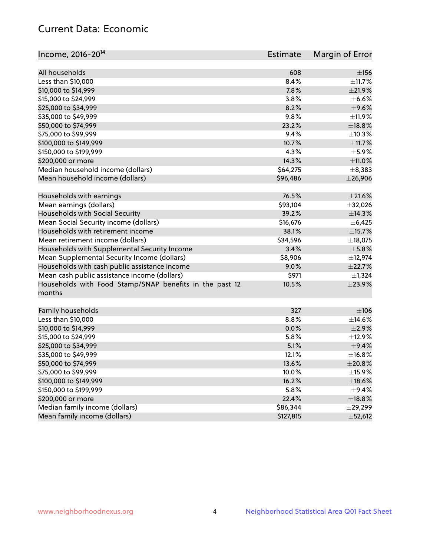# Current Data: Economic

| Income, 2016-20 <sup>14</sup>                           | Estimate      | Margin of Error |
|---------------------------------------------------------|---------------|-----------------|
|                                                         |               |                 |
| All households                                          | 608           | $\pm$ 156       |
| Less than \$10,000                                      | 8.4%          | ±11.7%          |
| \$10,000 to \$14,999                                    | 7.8%          | $\pm 21.9\%$    |
| \$15,000 to \$24,999                                    | 3.8%          | $\pm$ 6.6%      |
| \$25,000 to \$34,999                                    | 8.2%          | $\pm$ 9.6%      |
| \$35,000 to \$49,999                                    | 9.8%          | ±11.9%          |
| \$50,000 to \$74,999                                    | 23.2%         | ±18.8%          |
| \$75,000 to \$99,999                                    | 9.4%          | ±10.3%          |
| \$100,000 to \$149,999                                  | 10.7%         | ±11.7%          |
| \$150,000 to \$199,999                                  | 4.3%          | $\pm$ 5.9%      |
| \$200,000 or more                                       | 14.3%         | ±11.0%          |
| Median household income (dollars)                       | \$64,275      | $\pm$ 8,383     |
| Mean household income (dollars)                         | \$96,486      | $±$ 26,906      |
| Households with earnings                                | 76.5%         | $\pm 21.6\%$    |
| Mean earnings (dollars)                                 | \$93,104      | ±32,026         |
| Households with Social Security                         | 39.2%         | ±14.3%          |
| Mean Social Security income (dollars)                   | \$16,676      | ±6,425          |
| Households with retirement income                       | 38.1%         | ±15.7%          |
| Mean retirement income (dollars)                        | \$34,596      | ±18,075         |
| Households with Supplemental Security Income            | 3.4%          | $\pm$ 5.8%      |
| Mean Supplemental Security Income (dollars)             | \$8,906       | ±12,974         |
| Households with cash public assistance income           | 9.0%          | ±22.7%          |
| Mean cash public assistance income (dollars)            | \$971         | $\pm$ 1,324     |
| Households with Food Stamp/SNAP benefits in the past 12 | 10.5%         | ±23.9%          |
| months                                                  |               |                 |
| Family households                                       | 327           | $\pm 106$       |
| Less than \$10,000                                      | 8.8%          | $\pm$ 14.6%     |
| \$10,000 to \$14,999                                    | 0.0%          | $\pm 2.9\%$     |
| \$15,000 to \$24,999                                    | 5.8%          | ±12.9%          |
| \$25,000 to \$34,999                                    | 5.1%          | $\pm$ 9.4%      |
| \$35,000 to \$49,999                                    | 12.1%         | ±16.8%          |
| \$50,000 to \$74,999                                    | 13.6%         | $\pm 20.8\%$    |
| \$75,000 to \$99,999                                    | 10.0%         | $\pm$ 15.9%     |
| \$100,000 to \$149,999                                  | 16.2%         | ±18.6%          |
| \$150,000 to \$199,999                                  |               |                 |
|                                                         | 5.8%<br>22.4% | $\pm$ 9.4%      |
| \$200,000 or more<br>Median family income (dollars)     |               | ±18.8%          |
| Mean family income (dollars)                            | \$86,344      | $\pm$ 29,299    |
|                                                         | \$127,815     | ±52,612         |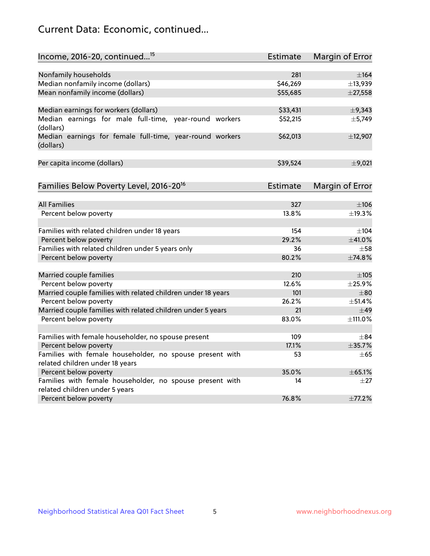# Current Data: Economic, continued...

| Income, 2016-20, continued <sup>15</sup>                                                   | <b>Estimate</b> | Margin of Error        |
|--------------------------------------------------------------------------------------------|-----------------|------------------------|
|                                                                                            |                 |                        |
| Nonfamily households                                                                       | 281             | $\pm$ 164              |
| Median nonfamily income (dollars)                                                          | \$46,269        | ±13,939                |
| Mean nonfamily income (dollars)                                                            | \$55,685        | $±$ 27,558             |
| Median earnings for workers (dollars)                                                      | \$33,431        | $\pm$ 9,343            |
| Median earnings for male full-time, year-round workers<br>(dollars)                        | \$52,215        | ±5,749                 |
| Median earnings for female full-time, year-round workers<br>(dollars)                      | \$62,013        | ±12,907                |
| Per capita income (dollars)                                                                | \$39,524        | $\pm$ 9,021            |
| Families Below Poverty Level, 2016-20 <sup>16</sup>                                        | <b>Estimate</b> | <b>Margin of Error</b> |
|                                                                                            |                 |                        |
| <b>All Families</b>                                                                        | 327             | $\pm 106$              |
| Percent below poverty                                                                      | 13.8%           | ±19.3%                 |
| Families with related children under 18 years                                              | 154             | $\pm$ 104              |
| Percent below poverty                                                                      | 29.2%           | ±41.0%                 |
| Families with related children under 5 years only                                          | 36              | $\pm$ 58               |
| Percent below poverty                                                                      | 80.2%           | ±74.8%                 |
| Married couple families                                                                    | 210             | $\pm 105$              |
| Percent below poverty                                                                      | 12.6%           | ±25.9%                 |
| Married couple families with related children under 18 years                               | 101             | $\pm$ 80               |
| Percent below poverty                                                                      | 26.2%           | ±51.4%                 |
| Married couple families with related children under 5 years                                | 21              | $\pm$ 49               |
| Percent below poverty                                                                      | 83.0%           | ±111.0%                |
|                                                                                            |                 |                        |
| Families with female householder, no spouse present                                        | 109             | $\pm$ 84               |
| Percent below poverty                                                                      | 17.1%           | ±35.7%                 |
| Families with female householder, no spouse present with                                   | 53              | $\pm 65$               |
| related children under 18 years                                                            |                 |                        |
| Percent below poverty                                                                      | 35.0%           | ±65.1%                 |
| Families with female householder, no spouse present with<br>related children under 5 years | 14              | $\pm 27$               |
| Percent below poverty                                                                      | 76.8%           | ±77.2%                 |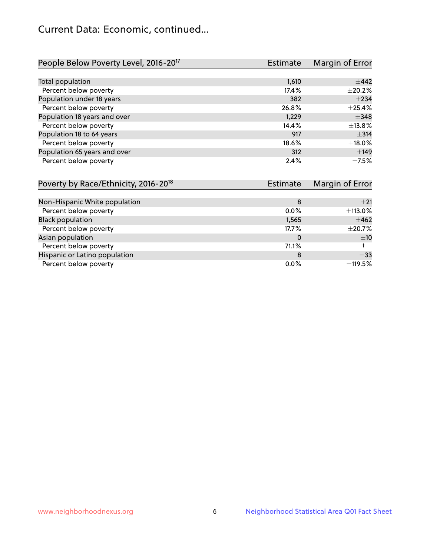# Current Data: Economic, continued...

| People Below Poverty Level, 2016-20 <sup>17</sup> | <b>Estimate</b> | Margin of Error |
|---------------------------------------------------|-----------------|-----------------|
|                                                   |                 |                 |
| Total population                                  | 1,610           | $\pm$ 442       |
| Percent below poverty                             | 17.4%           | $\pm 20.2\%$    |
| Population under 18 years                         | 382             | $\pm 234$       |
| Percent below poverty                             | 26.8%           | $\pm$ 25.4%     |
| Population 18 years and over                      | 1,229           | $\pm$ 348       |
| Percent below poverty                             | 14.4%           | ±13.8%          |
| Population 18 to 64 years                         | 917             | $\pm$ 314       |
| Percent below poverty                             | 18.6%           | ±18.0%          |
| Population 65 years and over                      | 312             | ±149            |
| Percent below poverty                             | 2.4%            | $+7.5%$         |

| Poverty by Race/Ethnicity, 2016-20 <sup>18</sup> | <b>Estimate</b> | Margin of Error |
|--------------------------------------------------|-----------------|-----------------|
|                                                  |                 |                 |
| Non-Hispanic White population                    | 8               | $+21$           |
| Percent below poverty                            | $0.0\%$         | ±113.0%         |
| <b>Black population</b>                          | 1,565           | $\pm 462$       |
| Percent below poverty                            | 17.7%           | $\pm 20.7\%$    |
| Asian population                                 | 0               | ±10             |
| Percent below poverty                            | 71.1%           |                 |
| Hispanic or Latino population                    | 8               | $\pm$ 33        |
| Percent below poverty                            | $0.0\%$         | ±119.5%         |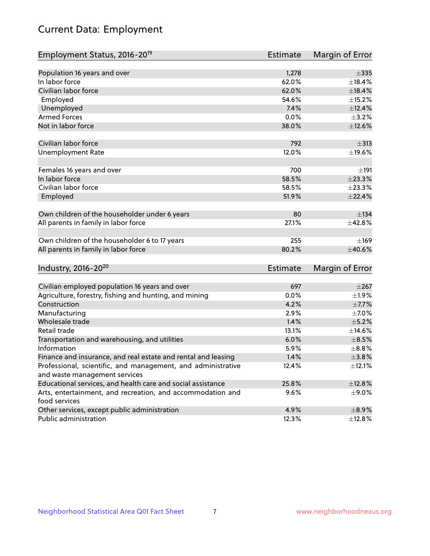# Current Data: Employment

| Employment Status, 2016-20 <sup>19</sup>                                    | <b>Estimate</b> | Margin of Error |
|-----------------------------------------------------------------------------|-----------------|-----------------|
|                                                                             |                 |                 |
| Population 16 years and over                                                | 1,278           | $\pm$ 335       |
| In labor force                                                              | 62.0%           | ±18.4%          |
| Civilian labor force                                                        | 62.0%           | ±18.4%          |
| Employed                                                                    | 54.6%           | ±15.2%          |
| Unemployed                                                                  | 7.4%            | $\pm$ 12.4%     |
| <b>Armed Forces</b>                                                         | 0.0%            | $\pm$ 3.2%      |
| Not in labor force                                                          | 38.0%           | ±12.6%          |
| Civilian labor force                                                        | 792             | $\pm$ 313       |
| <b>Unemployment Rate</b>                                                    | 12.0%           | ±19.6%          |
| Females 16 years and over                                                   | 700             | ±191            |
| In labor force                                                              | 58.5%           | ±23.3%          |
| Civilian labor force                                                        | 58.5%           | ±23.3%          |
| Employed                                                                    | 51.9%           | ±22.4%          |
| Own children of the householder under 6 years                               | 80              | $\pm$ 134       |
| All parents in family in labor force                                        | 27.1%           | ±42.8%          |
| Own children of the householder 6 to 17 years                               | 255             | ±169            |
| All parents in family in labor force                                        | 80.2%           | ±40.6%          |
| Industry, 2016-20 <sup>20</sup>                                             | <b>Estimate</b> | Margin of Error |
|                                                                             |                 |                 |
| Civilian employed population 16 years and over                              | 697             | $\pm 267$       |
| Agriculture, forestry, fishing and hunting, and mining                      | 0.0%            | $\pm 1.9\%$     |
| Construction                                                                | 4.2%            | $\pm$ 7.7%      |
| Manufacturing                                                               | 2.9%            | $\pm$ 7.0%      |
| Wholesale trade                                                             | 1.4%            | $\pm$ 5.2%      |
| Retail trade                                                                | 13.1%           | ±14.6%          |
| Transportation and warehousing, and utilities                               | 6.0%            | $\pm$ 8.5%      |
| Information                                                                 | 5.9%            | $\pm$ 8.8%      |
| Finance and insurance, and real estate and rental and leasing               | 1.4%            | ±3.8%           |
| Professional, scientific, and management, and administrative                | 12.4%           | ±12.1%          |
| and waste management services                                               |                 |                 |
| Educational services, and health care and social assistance                 | 25.8%           | ±12.8%          |
| Arts, entertainment, and recreation, and accommodation and<br>food services | 9.6%            | $\pm$ 9.0%      |
| Other services, except public administration                                | 4.9%            | $\pm$ 8.9%      |
| Public administration                                                       | 12.3%           | ±12.8%          |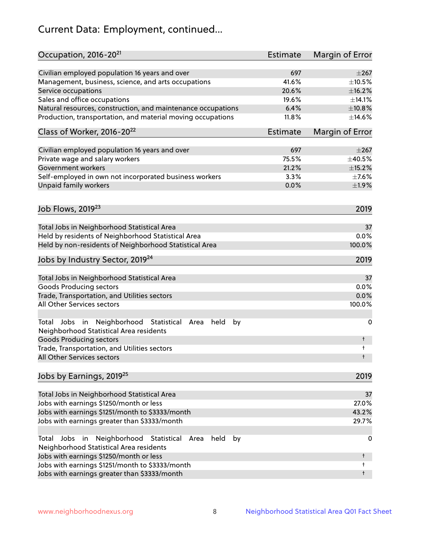# Current Data: Employment, continued...

| Occupation, 2016-20 <sup>21</sup>                                                                       | Estimate | Margin of Error |
|---------------------------------------------------------------------------------------------------------|----------|-----------------|
| Civilian employed population 16 years and over                                                          | 697      | $\pm 267$       |
| Management, business, science, and arts occupations                                                     | 41.6%    | $\pm 10.5\%$    |
| Service occupations                                                                                     | 20.6%    | ±16.2%          |
| Sales and office occupations                                                                            | 19.6%    | ±14.1%          |
| Natural resources, construction, and maintenance occupations                                            | 6.4%     | ±10.8%          |
| Production, transportation, and material moving occupations                                             | 11.8%    | ±14.6%          |
| Class of Worker, 2016-20 <sup>22</sup>                                                                  | Estimate | Margin of Error |
| Civilian employed population 16 years and over                                                          | 697      | $\pm 267$       |
| Private wage and salary workers                                                                         | 75.5%    | $\pm$ 40.5%     |
| Government workers                                                                                      | 21.2%    | ±15.2%          |
| Self-employed in own not incorporated business workers                                                  | 3.3%     | $\pm$ 7.6%      |
| Unpaid family workers                                                                                   | 0.0%     | ±1.9%           |
| Job Flows, 2019 <sup>23</sup>                                                                           |          | 2019            |
|                                                                                                         |          |                 |
| Total Jobs in Neighborhood Statistical Area                                                             |          | 37              |
| Held by residents of Neighborhood Statistical Area                                                      |          | 0.0%            |
| Held by non-residents of Neighborhood Statistical Area                                                  |          | 100.0%          |
| Jobs by Industry Sector, 2019 <sup>24</sup>                                                             |          | 2019            |
| Total Jobs in Neighborhood Statistical Area                                                             |          | 37              |
| <b>Goods Producing sectors</b>                                                                          |          | 0.0%            |
| Trade, Transportation, and Utilities sectors                                                            |          | 0.0%            |
| All Other Services sectors                                                                              |          | 100.0%          |
| Total Jobs in Neighborhood Statistical<br>held<br>by<br>Area<br>Neighborhood Statistical Area residents |          | 0               |
| <b>Goods Producing sectors</b>                                                                          |          | t               |
| Trade, Transportation, and Utilities sectors<br>All Other Services sectors                              |          | t<br>t          |
|                                                                                                         |          |                 |
| Jobs by Earnings, 2019 <sup>25</sup>                                                                    |          | 2019            |
| Total Jobs in Neighborhood Statistical Area                                                             |          | 37              |
| Jobs with earnings \$1250/month or less                                                                 |          | 27.0%           |
| Jobs with earnings \$1251/month to \$3333/month                                                         |          | 43.2%           |
| Jobs with earnings greater than \$3333/month                                                            |          | 29.7%           |
| Neighborhood Statistical<br>Jobs<br>in<br>Area<br>held<br>by<br>Total                                   |          | 0               |
| Neighborhood Statistical Area residents<br>Jobs with earnings \$1250/month or less                      |          | t               |
| Jobs with earnings \$1251/month to \$3333/month                                                         |          | t               |
| Jobs with earnings greater than \$3333/month                                                            |          | t               |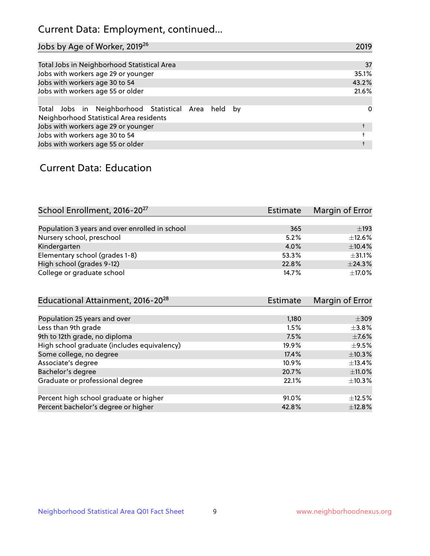# Current Data: Employment, continued...

| Jobs by Age of Worker, 2019 <sup>26</sup>                                                      | 2019  |
|------------------------------------------------------------------------------------------------|-------|
|                                                                                                |       |
| Total Jobs in Neighborhood Statistical Area                                                    | 37    |
| Jobs with workers age 29 or younger                                                            | 35.1% |
| Jobs with workers age 30 to 54                                                                 | 43.2% |
| Jobs with workers age 55 or older                                                              | 21.6% |
|                                                                                                |       |
| Total Jobs in Neighborhood Statistical Area held by<br>Neighborhood Statistical Area residents | 0     |
| Jobs with workers age 29 or younger                                                            |       |
| Jobs with workers age 30 to 54                                                                 |       |
| Jobs with workers age 55 or older                                                              |       |

### Current Data: Education

| School Enrollment, 2016-20 <sup>27</sup>       | Estimate | Margin of Error |
|------------------------------------------------|----------|-----------------|
|                                                |          |                 |
| Population 3 years and over enrolled in school | 365      | $\pm$ 193       |
| Nursery school, preschool                      | 5.2%     | $\pm$ 12.6%     |
| Kindergarten                                   | 4.0%     | $\pm$ 10.4%     |
| Elementary school (grades 1-8)                 | 53.3%    | $\pm$ 31.1%     |
| High school (grades 9-12)                      | 22.8%    | ±24.3%          |
| College or graduate school                     | 14.7%    | $\pm$ 17.0%     |
|                                                |          |                 |

| <b>Estimate</b> | Margin of Error |
|-----------------|-----------------|
|                 |                 |
| 1,180           | $\pm 309$       |
| 1.5%            | $\pm$ 3.8%      |
| 7.5%            | $\pm$ 7.6%      |
| 19.9%           | $\pm$ 9.5%      |
| 17.4%           | ±10.3%          |
| 10.9%           | $\pm$ 13.4%     |
| 20.7%           | ±11.0%          |
| 22.1%           | $\pm$ 10.3%     |
|                 |                 |
| 91.0%           | $\pm$ 12.5%     |
| 42.8%           | ±12.8%          |
|                 |                 |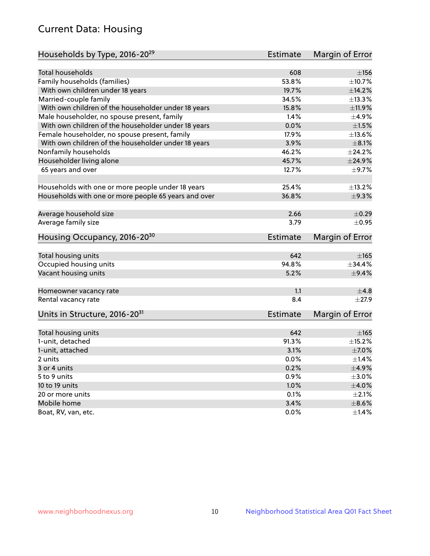# Current Data: Housing

| Households by Type, 2016-20 <sup>29</sup>            | <b>Estimate</b> | Margin of Error |
|------------------------------------------------------|-----------------|-----------------|
|                                                      |                 |                 |
| Total households                                     | 608             | ±156            |
| Family households (families)                         | 53.8%           | ±10.7%          |
| With own children under 18 years                     | 19.7%           | ±14.2%          |
| Married-couple family                                | 34.5%           | ±13.3%          |
| With own children of the householder under 18 years  | 15.8%           | ±11.9%          |
| Male householder, no spouse present, family          | 1.4%            | $\pm$ 4.9%      |
| With own children of the householder under 18 years  | 0.0%            | $\pm 1.5\%$     |
| Female householder, no spouse present, family        | 17.9%           | ±13.6%          |
| With own children of the householder under 18 years  | 3.9%            | $\pm 8.1\%$     |
| Nonfamily households                                 | 46.2%           | ±24.2%          |
| Householder living alone                             | 45.7%           | ±24.9%          |
| 65 years and over                                    | 12.7%           | $\pm$ 9.7%      |
| Households with one or more people under 18 years    | 25.4%           | ±13.2%          |
| Households with one or more people 65 years and over | 36.8%           | ±9.3%           |
|                                                      |                 |                 |
| Average household size                               | 2.66            | $\pm$ 0.29      |
| Average family size                                  | 3.79            | $\pm$ 0.95      |
| Housing Occupancy, 2016-20 <sup>30</sup>             | <b>Estimate</b> | Margin of Error |
| Total housing units                                  | 642             | $\pm 165$       |
| Occupied housing units                               | 94.8%           | ±34.4%          |
| Vacant housing units                                 | 5.2%            | $\pm$ 9.4%      |
|                                                      |                 |                 |
| Homeowner vacancy rate                               | 1.1             | $\pm$ 4.8       |
| Rental vacancy rate                                  | 8.4             | $\pm 27.9$      |
| Units in Structure, 2016-20 <sup>31</sup>            | Estimate        | Margin of Error |
| Total housing units                                  | 642             | $\pm 165$       |
| 1-unit, detached                                     | 91.3%           | $\pm$ 15.2%     |
| 1-unit, attached                                     | 3.1%            | $\pm$ 7.0%      |
| 2 units                                              | 0.0%            | $\pm$ 1.4%      |
| 3 or 4 units                                         | 0.2%            | $\pm$ 4.9%      |
|                                                      |                 |                 |
| 5 to 9 units                                         | 0.9%            | $\pm 3.0\%$     |
| 10 to 19 units                                       | 1.0%            | ±4.0%           |
| 20 or more units                                     | 0.1%            | $\pm 2.1\%$     |
| Mobile home                                          | 3.4%            | $\pm$ 8.6%      |
| Boat, RV, van, etc.                                  | 0.0%            | ±1.4%           |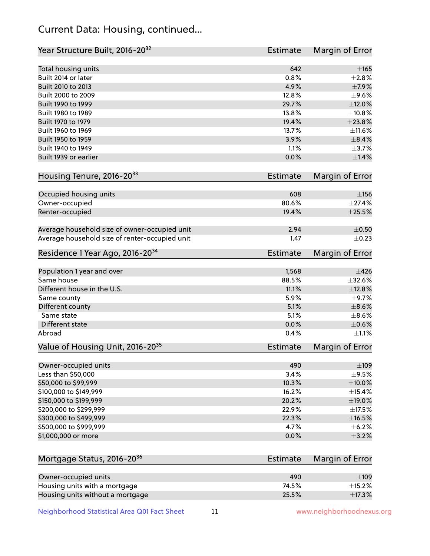# Current Data: Housing, continued...

| Year Structure Built, 2016-20 <sup>32</sup>    | Estimate | Margin of Error        |
|------------------------------------------------|----------|------------------------|
| Total housing units                            | 642      | $\pm$ 165              |
| Built 2014 or later                            | 0.8%     | ±2.8%                  |
| Built 2010 to 2013                             | 4.9%     | $\pm$ 7.9%             |
| Built 2000 to 2009                             | 12.8%    | $\pm$ 9.6%             |
| Built 1990 to 1999                             | 29.7%    | $\pm$ 12.0%            |
| Built 1980 to 1989                             | 13.8%    | ±10.8%                 |
| Built 1970 to 1979                             | 19.4%    | ±23.8%                 |
| Built 1960 to 1969                             | 13.7%    | ±11.6%                 |
| Built 1950 to 1959                             | 3.9%     | $\pm$ 8.4%             |
| Built 1940 to 1949                             | 1.1%     | ±3.7%                  |
| Built 1939 or earlier                          | 0.0%     | $\pm$ 1.4%             |
|                                                |          |                        |
| Housing Tenure, 2016-20 <sup>33</sup>          | Estimate | Margin of Error        |
| Occupied housing units                         | 608      | $\pm$ 156              |
| Owner-occupied                                 | 80.6%    | ±27.4%                 |
| Renter-occupied                                | 19.4%    | ±25.5%                 |
|                                                |          |                        |
| Average household size of owner-occupied unit  | 2.94     | $\pm$ 0.50             |
| Average household size of renter-occupied unit | 1.47     | $\pm$ 0.23             |
| Residence 1 Year Ago, 2016-20 <sup>34</sup>    | Estimate | <b>Margin of Error</b> |
| Population 1 year and over                     | 1,568    | $\pm$ 426              |
| Same house                                     | 88.5%    | ±32.6%                 |
| Different house in the U.S.                    | 11.1%    | ±12.8%                 |
| Same county                                    | 5.9%     | $\pm$ 9.7%             |
| Different county                               | 5.1%     | $\pm$ 8.6%             |
| Same state                                     | 5.1%     | $\pm$ 8.6%             |
| Different state                                | 0.0%     | $\pm$ 0.6%             |
| Abroad                                         | 0.4%     | $\pm 1.1\%$            |
| Value of Housing Unit, 2016-20 <sup>35</sup>   | Estimate | Margin of Error        |
| Owner-occupied units                           | 490      | $\pm$ 109              |
| Less than \$50,000                             | 3.4%     | $\pm$ 9.5%             |
| \$50,000 to \$99,999                           | 10.3%    | $\pm$ 10.0%            |
| \$100,000 to \$149,999                         | 16.2%    | ±15.4%                 |
| \$150,000 to \$199,999                         | 20.2%    | ±19.0%                 |
| \$200,000 to \$299,999                         | 22.9%    | ±17.5%                 |
| \$300,000 to \$499,999                         | 22.3%    | ±16.5%                 |
| \$500,000 to \$999,999                         | 4.7%     | ±6.2%                  |
| \$1,000,000 or more                            | 0.0%     | $\pm$ 3.2%             |
| Mortgage Status, 2016-20 <sup>36</sup>         | Estimate | Margin of Error        |
|                                                |          |                        |
| Owner-occupied units                           | 490      | $\pm$ 109              |
| Housing units with a mortgage                  | 74.5%    | $\pm$ 15.2%            |

Neighborhood Statistical Area Q01 Fact Sheet 11 1 www.neighborhoodnexus.org

Housing units without a mortgage  $\pm 17.3\, \%$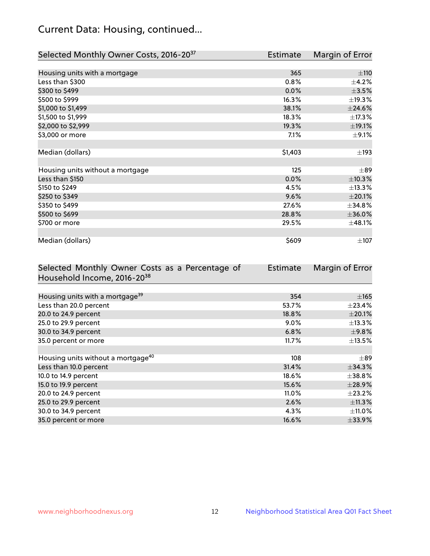# Current Data: Housing, continued...

| Selected Monthly Owner Costs, 2016-20 <sup>37</sup> | Estimate | Margin of Error |
|-----------------------------------------------------|----------|-----------------|
|                                                     |          |                 |
| Housing units with a mortgage                       | 365      | ±110            |
| Less than \$300                                     | 0.8%     | $\pm$ 4.2%      |
| \$300 to \$499                                      | 0.0%     | $\pm$ 3.5%      |
| \$500 to \$999                                      | 16.3%    | ±19.3%          |
| \$1,000 to \$1,499                                  | 38.1%    | ±24.6%          |
| \$1,500 to \$1,999                                  | 18.3%    | ±17.3%          |
| \$2,000 to \$2,999                                  | 19.3%    | ±19.1%          |
| \$3,000 or more                                     | 7.1%     | $\pm$ 9.1%      |
|                                                     |          |                 |
| Median (dollars)                                    | \$1,403  | $\pm$ 193       |
|                                                     |          |                 |
| Housing units without a mortgage                    | 125      | $\pm$ 89        |
| Less than \$150                                     | 0.0%     | ±10.3%          |
| \$150 to \$249                                      | 4.5%     | ±13.3%          |
| \$250 to \$349                                      | 9.6%     | $\pm 20.1\%$    |
| \$350 to \$499                                      | 27.6%    | $\pm$ 34.8%     |
| \$500 to \$699                                      | 28.8%    | ±36.0%          |
| \$700 or more                                       | 29.5%    | ±48.1%          |
|                                                     |          |                 |
| Median (dollars)                                    | \$609    | $\pm$ 107       |

| Selected Monthly Owner Costs as a Percentage of | Estimate | Margin of Error |
|-------------------------------------------------|----------|-----------------|
| Household Income, 2016-2038                     |          |                 |
|                                                 |          |                 |
| Housing units with a mortgage <sup>39</sup>     | 354      | $\pm$ 165       |
| Less than 20.0 percent                          | 53.7%    | $\pm$ 23.4%     |
| 20.0 to 24.9 percent                            | 18.8%    | $\pm 20.1\%$    |
| 25.0 to 29.9 percent                            | $9.0\%$  | $\pm$ 13.3%     |
| 30.0 to 34.9 percent                            | 6.8%     | $\pm$ 9.8%      |
| 35.0 percent or more                            | 11.7%    | $\pm$ 13.5%     |
|                                                 |          |                 |
| Housing units without a mortgage <sup>40</sup>  | 108      | $\pm$ 89        |
| Less than 10.0 percent                          | 31.4%    | $\pm$ 34.3%     |
| 10.0 to 14.9 percent                            | 18.6%    | $\pm$ 38.8%     |
| 15.0 to 19.9 percent                            | 15.6%    | ±28.9%          |
| 20.0 to 24.9 percent                            | 11.0%    | $\pm 23.2\%$    |
| 25.0 to 29.9 percent                            | 2.6%     | ±11.3%          |
| 30.0 to 34.9 percent                            | 4.3%     | $\pm$ 11.0%     |
| 35.0 percent or more                            | 16.6%    | $\pm$ 33.9%     |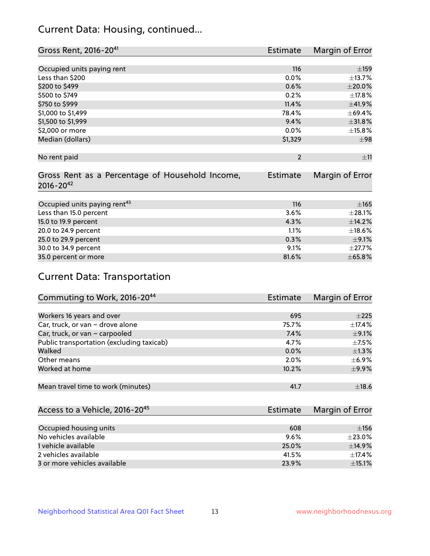# Current Data: Housing, continued...

| Gross Rent, 2016-20 <sup>41</sup>               | Estimate        | Margin of Error |
|-------------------------------------------------|-----------------|-----------------|
|                                                 |                 |                 |
| Occupied units paying rent                      | 116             | ±159            |
| Less than \$200                                 | 0.0%            | ±13.7%          |
| \$200 to \$499                                  | 0.6%            | $\pm 20.0\%$    |
| \$500 to \$749                                  | 0.2%            | ±17.8%          |
| \$750 to \$999                                  | 11.4%           | ±41.9%          |
| \$1,000 to \$1,499                              | 78.4%           | ±69.4%          |
| \$1,500 to \$1,999                              | 9.4%            | ±31.8%          |
| \$2,000 or more                                 | 0.0%            | ±15.8%          |
| Median (dollars)                                | \$1,329         | ±98             |
|                                                 |                 |                 |
| No rent paid                                    | $\overline{2}$  | ±11             |
|                                                 |                 |                 |
| Gross Rent as a Percentage of Household Income, | <b>Estimate</b> | Margin of Error |
| $2016 - 20^{42}$                                |                 |                 |
|                                                 |                 |                 |
| Occupied units paying rent <sup>43</sup>        | 116             | $\pm$ 165       |
| Less than 15.0 percent                          | 3.6%            | ±28.1%          |
| 15.0 to 19.9 percent                            | 4.3%            | ±14.2%          |
| 20.0 to 24.9 percent                            | 1.1%            | ±18.6%          |
| 25.0 to 29.9 percent                            | 0.3%            | $\pm$ 9.1%      |
| 30.0 to 34.9 percent                            | 9.1%            | ±27.7%          |
| 35.0 percent or more                            | 81.6%           | ±65.8%          |

# Current Data: Transportation

| Commuting to Work, 2016-20 <sup>44</sup>  | Estimate | Margin of Error |
|-------------------------------------------|----------|-----------------|
|                                           |          |                 |
| Workers 16 years and over                 | 695      | $+225$          |
| Car, truck, or van - drove alone          | 75.7%    | $\pm$ 17.4%     |
| Car, truck, or van - carpooled            | 7.4%     | $\pm$ 9.1%      |
| Public transportation (excluding taxicab) | 4.7%     | $\pm$ 7.5%      |
| Walked                                    | 0.0%     | $\pm 1.3\%$     |
| Other means                               | 2.0%     | $\pm$ 6.9%      |
| Worked at home                            | 10.2%    | $\pm$ 9.9%      |
|                                           |          |                 |
| Mean travel time to work (minutes)        | 41.7     | ±18.6           |

| Access to a Vehicle, 2016-20 <sup>45</sup> | Estimate | Margin of Error |
|--------------------------------------------|----------|-----------------|
|                                            |          |                 |
| Occupied housing units                     | 608      | ±156            |
| No vehicles available                      | 9.6%     | $\pm 23.0\%$    |
| 1 vehicle available                        | 25.0%    | $\pm$ 14.9%     |
| 2 vehicles available                       | 41.5%    | $+17.4%$        |
| 3 or more vehicles available               | 23.9%    | $\pm$ 15.1%     |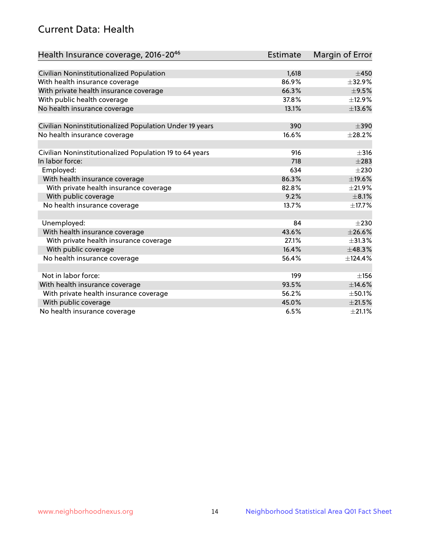# Current Data: Health

| Health Insurance coverage, 2016-2046                    | <b>Estimate</b> | Margin of Error |
|---------------------------------------------------------|-----------------|-----------------|
|                                                         |                 |                 |
| Civilian Noninstitutionalized Population                | 1,618           | $\pm 450$       |
| With health insurance coverage                          | 86.9%           | ±32.9%          |
| With private health insurance coverage                  | 66.3%           | $\pm$ 9.5%      |
| With public health coverage                             | 37.8%           | ±12.9%          |
| No health insurance coverage                            | 13.1%           | ±13.6%          |
| Civilian Noninstitutionalized Population Under 19 years | 390             | $\pm$ 390       |
| No health insurance coverage                            | 16.6%           | ±28.2%          |
|                                                         |                 |                 |
| Civilian Noninstitutionalized Population 19 to 64 years | 916             | $\pm$ 316       |
| In labor force:                                         | 718             | $\pm 283$       |
| Employed:                                               | 634             | $\pm 230$       |
| With health insurance coverage                          | 86.3%           | ±19.6%          |
| With private health insurance coverage                  | 82.8%           | $\pm 21.9\%$    |
| With public coverage                                    | 9.2%            | $\pm$ 8.1%      |
| No health insurance coverage                            | 13.7%           | ±17.7%          |
|                                                         |                 |                 |
| Unemployed:                                             | 84              | $\pm 230$       |
| With health insurance coverage                          | 43.6%           | ±26.6%          |
| With private health insurance coverage                  | 27.1%           | ±31.3%          |
| With public coverage                                    | 16.4%           | ±48.3%          |
| No health insurance coverage                            | 56.4%           | ±124.4%         |
|                                                         |                 |                 |
| Not in labor force:                                     | 199             | ±156            |
| With health insurance coverage                          | 93.5%           | ±14.6%          |
| With private health insurance coverage                  | 56.2%           | $\pm$ 50.1%     |
| With public coverage                                    | 45.0%           | $\pm 21.5\%$    |
| No health insurance coverage                            | 6.5%            | $\pm 21.1\%$    |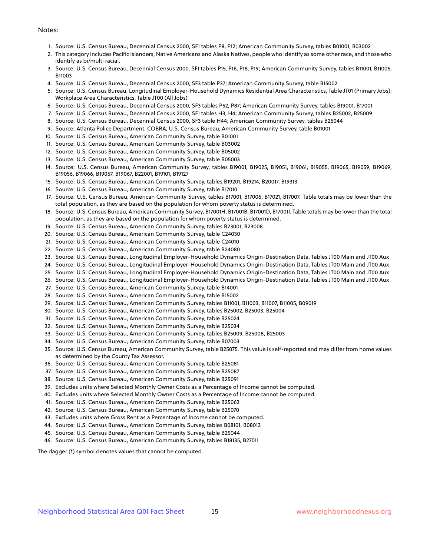#### Notes:

- 1. Source: U.S. Census Bureau, Decennial Census 2000, SF1 tables P8, P12; American Community Survey, tables B01001, B03002
- 2. This category includes Pacific Islanders, Native Americans and Alaska Natives, people who identify as some other race, and those who identify as bi/multi racial.
- 3. Source: U.S. Census Bureau, Decennial Census 2000, SF1 tables P15, P16, P18, P19; American Community Survey, tables B11001, B11005, B11003
- 4. Source: U.S. Census Bureau, Decennial Census 2000, SF3 table P37; American Community Survey, table B15002
- 5. Source: U.S. Census Bureau, Longitudinal Employer-Household Dynamics Residential Area Characteristics, Table JT01 (Primary Jobs); Workplace Area Characteristics, Table JT00 (All Jobs)
- 6. Source: U.S. Census Bureau, Decennial Census 2000, SF3 tables P52, P87; American Community Survey, tables B19001, B17001
- 7. Source: U.S. Census Bureau, Decennial Census 2000, SF1 tables H3, H4; American Community Survey, tables B25002, B25009
- 8. Source: U.S. Census Bureau, Decennial Census 2000, SF3 table H44; American Community Survey, tables B25044
- 9. Source: Atlanta Police Department, COBRA; U.S. Census Bureau, American Community Survey, table B01001
- 10. Source: U.S. Census Bureau, American Community Survey, table B01001
- 11. Source: U.S. Census Bureau, American Community Survey, table B03002
- 12. Source: U.S. Census Bureau, American Community Survey, table B05002
- 13. Source: U.S. Census Bureau, American Community Survey, table B05003
- 14. Source: U.S. Census Bureau, American Community Survey, tables B19001, B19025, B19051, B19061, B19055, B19065, B19059, B19069, B19056, B19066, B19057, B19067, B22001, B19101, B19127
- 15. Source: U.S. Census Bureau, American Community Survey, tables B19201, B19214, B20017, B19313
- 16. Source: U.S. Census Bureau, American Community Survey, table B17010
- 17. Source: U.S. Census Bureau, American Community Survey, tables B17001, B17006, B17021, B17007. Table totals may be lower than the total population, as they are based on the population for whom poverty status is determined.
- 18. Source: U.S. Census Bureau, American Community Survey, B17001H, B17001B, B17001D, B17001I. Table totals may be lower than the total population, as they are based on the population for whom poverty status is determined.
- 19. Source: U.S. Census Bureau, American Community Survey, tables B23001, B23008
- 20. Source: U.S. Census Bureau, American Community Survey, table C24030
- 21. Source: U.S. Census Bureau, American Community Survey, table C24010
- 22. Source: U.S. Census Bureau, American Community Survey, table B24080
- 23. Source: U.S. Census Bureau, Longitudinal Employer-Household Dynamics Origin-Destination Data, Tables JT00 Main and JT00 Aux
- 24. Source: U.S. Census Bureau, Longitudinal Employer-Household Dynamics Origin-Destination Data, Tables JT00 Main and JT00 Aux
- 25. Source: U.S. Census Bureau, Longitudinal Employer-Household Dynamics Origin-Destination Data, Tables JT00 Main and JT00 Aux
- 26. Source: U.S. Census Bureau, Longitudinal Employer-Household Dynamics Origin-Destination Data, Tables JT00 Main and JT00 Aux
- 27. Source: U.S. Census Bureau, American Community Survey, table B14001
- 28. Source: U.S. Census Bureau, American Community Survey, table B15002
- 29. Source: U.S. Census Bureau, American Community Survey, tables B11001, B11003, B11007, B11005, B09019
- 30. Source: U.S. Census Bureau, American Community Survey, tables B25002, B25003, B25004
- 31. Source: U.S. Census Bureau, American Community Survey, table B25024
- 32. Source: U.S. Census Bureau, American Community Survey, table B25034
- 33. Source: U.S. Census Bureau, American Community Survey, tables B25009, B25008, B25003
- 34. Source: U.S. Census Bureau, American Community Survey, table B07003
- 35. Source: U.S. Census Bureau, American Community Survey, table B25075. This value is self-reported and may differ from home values as determined by the County Tax Assessor.
- 36. Source: U.S. Census Bureau, American Community Survey, table B25081
- 37. Source: U.S. Census Bureau, American Community Survey, table B25087
- 38. Source: U.S. Census Bureau, American Community Survey, table B25091
- 39. Excludes units where Selected Monthly Owner Costs as a Percentage of Income cannot be computed.
- 40. Excludes units where Selected Monthly Owner Costs as a Percentage of Income cannot be computed.
- 41. Source: U.S. Census Bureau, American Community Survey, table B25063
- 42. Source: U.S. Census Bureau, American Community Survey, table B25070
- 43. Excludes units where Gross Rent as a Percentage of Income cannot be computed.
- 44. Source: U.S. Census Bureau, American Community Survey, tables B08101, B08013
- 45. Source: U.S. Census Bureau, American Community Survey, table B25044
- 46. Source: U.S. Census Bureau, American Community Survey, tables B18135, B27011

The dagger (†) symbol denotes values that cannot be computed.